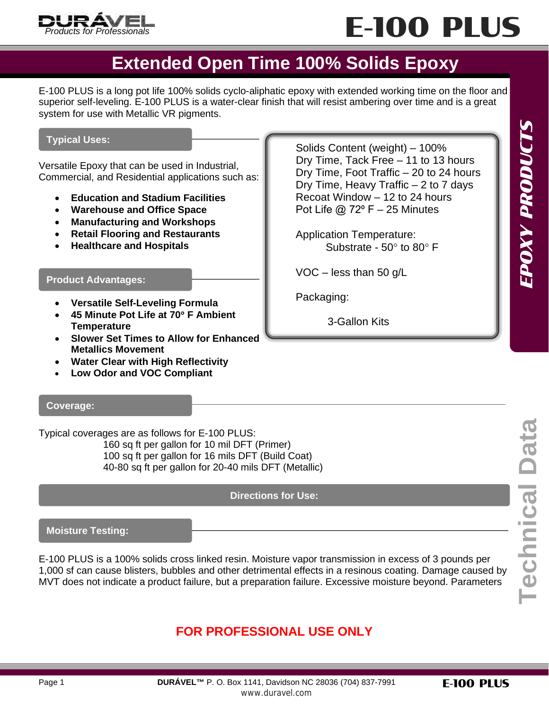



Dry Time, Tack Free – 11 to 13 hours Dry Time, Foot Traffic – 20 to 24 hours Dry Time, Heavy Traffic – 2 to 7 days Recoat Window – 12 to 24 hours Pot Life  $@$  72 $9$  F – 25 Minutes

Substrate - 50° to 80° F

Application Temperature:

VOC – less than 50 g/L

3-Gallon Kits

Packaging:

### **Extended Open Time 100% Solids Epoxy**

E-100 PLUS is a long pot life 100% solids cyclo-aliphatic epoxy with extended working time on the floor and superior self-leveling. E-100 PLUS is a water-clear finish that will resist ambering over time and is a great system for use with Metallic VR pigments.

### **Typical Uses:** Note that the solid of the Solids Content (weight) – 100%

Versatile Epoxy that can be used in Industrial, Commercial, and Residential applications such as:

- **Education and Stadium Facilities**
- **Warehouse and Office Space**
- **Manufacturing and Workshops**
- **Retail Flooring and Restaurants**
- **Healthcare and Hospitals**

#### **Product Advantages:**

- **Versatile Self-Leveling Formula**
- **45 Minute Pot Life at 70**° **F Ambient Temperature**
- **Slower Set Times to Allow for Enhanced Metallics Movement**
- **Water Clear with High Reflectivity**
- **Low Odor and VOC Compliant**

**Coverage:**

Typical coverages are as follows for E-100 PLUS: 160 sq ft per gallon for 10 mil DFT (Primer) 100 sq ft per gallon for 16 mils DFT (Build Coat) 40-80 sq ft per gallon for 20-40 mils DFT (Metallic)

**Directions for Use:**

**Moisture Testing:**

E-100 PLUS is a 100% solids cross linked resin. Moisture vapor transmission in excess of 3 pounds per 1,000 sf can cause blisters, bubbles and other detrimental effects in a resinous coating. Damage caused by MVT does not indicate a product failure, but a preparation failure. Excessive moisture beyond. Parameters

### **FOR PROFESSIONAL USE ONLY**

EPOXY PRODUCTS

E-100 PLUS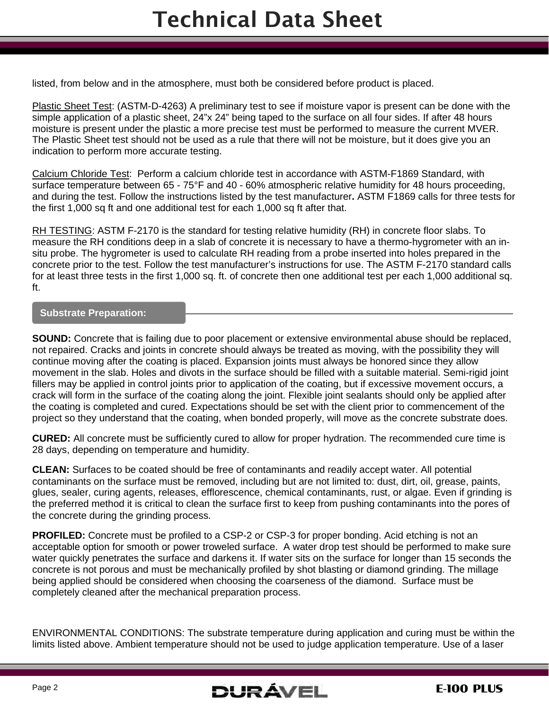listed, from below and in the atmosphere, must both be considered before product is placed.

Plastic Sheet Test: (ASTM-D-4263) A preliminary test to see if moisture vapor is present can be done with the simple application of a plastic sheet, 24"x 24" being taped to the surface on all four sides. If after 48 hours moisture is present under the plastic a more precise test must be performed to measure the current MVER. The Plastic Sheet test should not be used as a rule that there will not be moisture, but it does give you an indication to perform more accurate testing.

Calcium Chloride Test: Perform a calcium chloride test in accordance with ASTM-F1869 Standard, with surface temperature between 65 - 75°F and 40 - 60% atmospheric relative humidity for 48 hours proceeding, and during the test. Follow the instructions listed by the test manufacturer**.** ASTM F1869 calls for three tests for the first 1,000 sq ft and one additional test for each 1,000 sq ft after that.

RH TESTING: ASTM F-2170 is the standard for testing relative humidity (RH) in concrete floor slabs. To measure the RH conditions deep in a slab of concrete it is necessary to have a thermo-hygrometer with an insitu probe. The hygrometer is used to calculate RH reading from a probe inserted into holes prepared in the concrete prior to the test. Follow the test manufacturer's instructions for use. The ASTM F-2170 standard calls for at least three tests in the first 1,000 sq. ft. of concrete then one additional test per each 1,000 additional sq. ft.

### **Substrate Preparation:**

**SOUND:** Concrete that is failing due to poor placement or extensive environmental abuse should be replaced, not repaired. Cracks and joints in concrete should always be treated as moving, with the possibility they will continue moving after the coating is placed. Expansion joints must always be honored since they allow movement in the slab. Holes and divots in the surface should be filled with a suitable material. Semi-rigid joint fillers may be applied in control joints prior to application of the coating, but if excessive movement occurs, a crack will form in the surface of the coating along the joint. Flexible joint sealants should only be applied after the coating is completed and cured. Expectations should be set with the client prior to commencement of the project so they understand that the coating, when bonded properly, will move as the concrete substrate does.

**CURED:** All concrete must be sufficiently cured to allow for proper hydration. The recommended cure time is 28 days, depending on temperature and humidity.

**CLEAN:** Surfaces to be coated should be free of contaminants and readily accept water. All potential contaminants on the surface must be removed, including but are not limited to: dust, dirt, oil, grease, paints, glues, sealer, curing agents, releases, efflorescence, chemical contaminants, rust, or algae. Even if grinding is the preferred method it is critical to clean the surface first to keep from pushing contaminants into the pores of the concrete during the grinding process.

**PROFILED:** Concrete must be profiled to a CSP-2 or CSP-3 for proper bonding. Acid etching is not an acceptable option for smooth or power troweled surface. A water drop test should be performed to make sure water quickly penetrates the surface and darkens it. If water sits on the surface for longer than 15 seconds the concrete is not porous and must be mechanically profiled by shot blasting or diamond grinding. The millage being applied should be considered when choosing the coarseness of the diamond. Surface must be completely cleaned after the mechanical preparation process.

ENVIRONMENTAL CONDITIONS: The substrate temperature during application and curing must be within the limits listed above. Ambient temperature should not be used to judge application temperature. Use of a laser

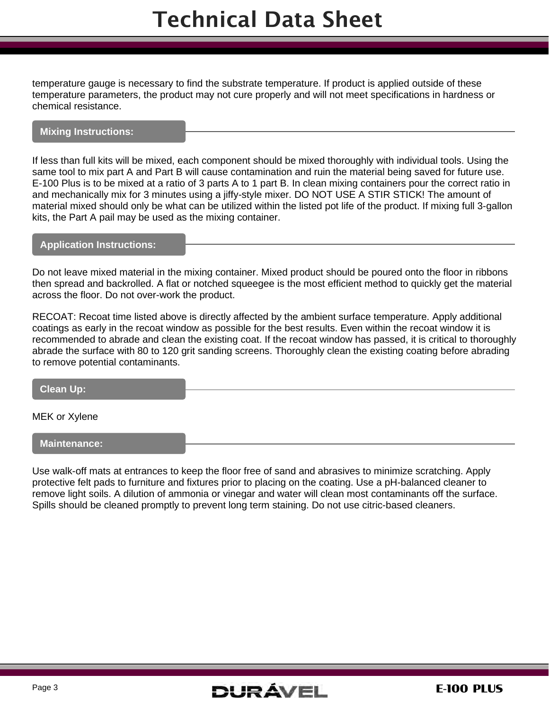temperature gauge is necessary to find the substrate temperature. If product is applied outside of these temperature parameters, the product may not cure properly and will not meet specifications in hardness or chemical resistance.

### **Mixing Instructions:**

If less than full kits will be mixed, each component should be mixed thoroughly with individual tools. Using the same tool to mix part A and Part B will cause contamination and ruin the material being saved for future use. E-100 Plus is to be mixed at a ratio of 3 parts A to 1 part B. In clean mixing containers pour the correct ratio in and mechanically mix for 3 minutes using a jiffy-style mixer. DO NOT USE A STIR STICK! The amount of material mixed should only be what can be utilized within the listed pot life of the product. If mixing full 3-gallon kits, the Part A pail may be used as the mixing container.

### **Application Instructions:**

Do not leave mixed material in the mixing container. Mixed product should be poured onto the floor in ribbons then spread and backrolled. A flat or notched squeegee is the most efficient method to quickly get the material across the floor. Do not over-work the product.

RECOAT: Recoat time listed above is directly affected by the ambient surface temperature. Apply additional coatings as early in the recoat window as possible for the best results. Even within the recoat window it is recommended to abrade and clean the existing coat. If the recoat window has passed, it is critical to thoroughly abrade the surface with 80 to 120 grit sanding screens. Thoroughly clean the existing coating before abrading to remove potential contaminants.

**Clean Up:**

MEK or Xylene

**Maintenance:**

Use walk-off mats at entrances to keep the floor free of sand and abrasives to minimize scratching. Apply protective felt pads to furniture and fixtures prior to placing on the coating. Use a pH-balanced cleaner to remove light soils. A dilution of ammonia or vinegar and water will clean most contaminants off the surface. Spills should be cleaned promptly to prevent long term staining. Do not use citric-based cleaners.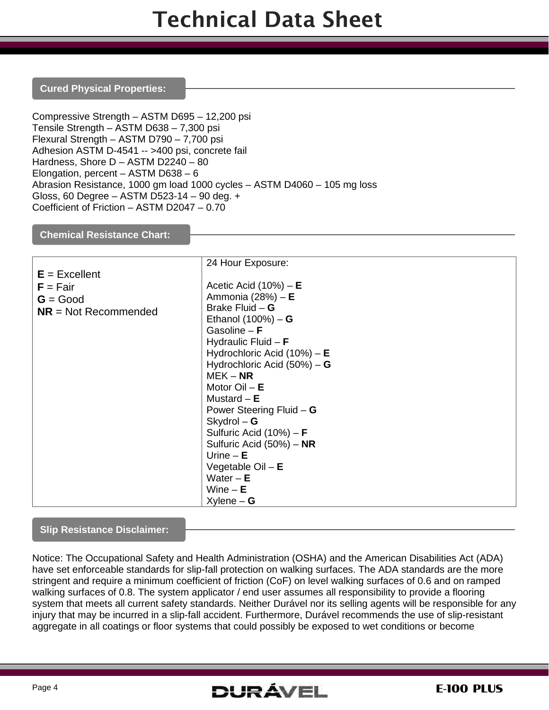### **Cured Physical Properties:**

Compressive Strength – ASTM D695 – 12,200 psi Tensile Strength – ASTM D638 – 7,300 psi Flexural Strength – ASTM D790 – 7,700 psi Adhesion ASTM D-4541 -- >400 psi, concrete fail Hardness, Shore D – ASTM D2240 – 80 Elongation, percent – ASTM D638 – 6 Abrasion Resistance, 1000 gm load 1000 cycles – ASTM D4060 – 105 mg loss Gloss, 60 Degree – ASTM D523-14 – 90 deg. + Coefficient of Friction – ASTM D2047 – 0.70

### **Chemical Resistance Chart:**

|                        | 24 Hour Exposure:                 |
|------------------------|-----------------------------------|
| $E = Excellent$        |                                   |
| $F = Fair$             | Acetic Acid $(10%) - E$           |
| $G = Good$             | Ammonia (28%) - E                 |
| $NR = Not$ Recommended | Brake Fluid $-G$                  |
|                        | Ethanol $(100%) - G$              |
|                        | Gasoline $- F$                    |
|                        | Hydraulic Fluid $- F$             |
|                        | Hydrochloric Acid $(10%) - E$     |
|                        | Hydrochloric Acid (50%) - G       |
|                        | $MEK - NR$                        |
|                        | Motor $Oil - E$                   |
|                        | Mustard $- E$                     |
|                        | Power Steering Fluid $-$ G        |
|                        | $Skydrol - G$                     |
|                        | Sulfuric Acid $(10\%)$ – <b>F</b> |
|                        | Sulfuric Acid (50%) - NR          |
|                        | Urine $- E$                       |
|                        | Vegetable $Oil - E$               |
|                        | Water $-E$                        |
|                        | Wine $- E$                        |
|                        | $X$ ylene – G                     |

### **Slip Resistance Disclaimer:**

Notice: The Occupational Safety and Health Administration (OSHA) and the American Disabilities Act (ADA) have set enforceable standards for slip-fall protection on walking surfaces. The ADA standards are the more stringent and require a minimum coefficient of friction (CoF) on level walking surfaces of 0.6 and on ramped walking surfaces of 0.8. The system applicator / end user assumes all responsibility to provide a flooring system that meets all current safety standards. Neither Durável nor its selling agents will be responsible for any injury that may be incurred in a slip-fall accident. Furthermore, Durável recommends the use of slip-resistant aggregate in all coatings or floor systems that could possibly be exposed to wet conditions or become

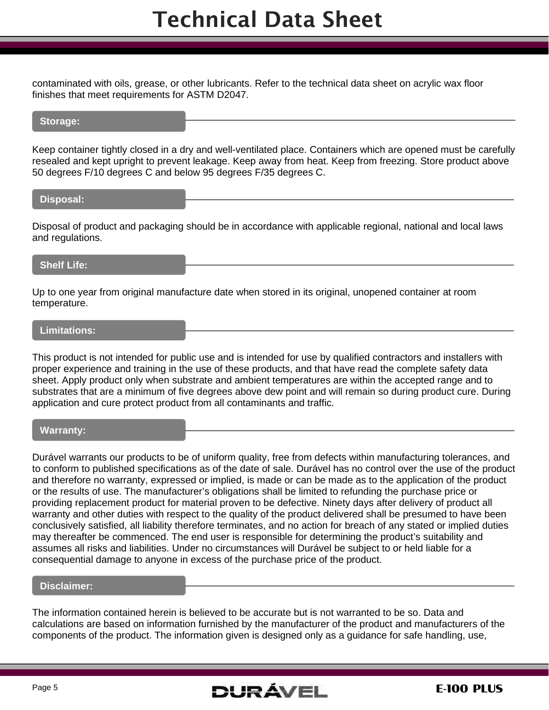contaminated with oils, grease, or other lubricants. Refer to the technical data sheet on acrylic wax floor finishes that meet requirements for ASTM D2047.

### **Storage:**

Keep container tightly closed in a dry and well-ventilated place. Containers which are opened must be carefully resealed and kept upright to prevent leakage. Keep away from heat. Keep from freezing. Store product above 50 degrees F/10 degrees C and below 95 degrees F/35 degrees C.

#### **Disposal:**

Disposal of product and packaging should be in accordance with applicable regional, national and local laws and regulations.

### **Shelf Life:**

Up to one year from original manufacture date when stored in its original, unopened container at room temperature.

### **Limitations:**

This product is not intended for public use and is intended for use by qualified contractors and installers with proper experience and training in the use of these products, and that have read the complete safety data sheet. Apply product only when substrate and ambient temperatures are within the accepted range and to substrates that are a minimum of five degrees above dew point and will remain so during product cure. During application and cure protect product from all contaminants and traffic.

### **Warranty:**

Durável warrants our products to be of uniform quality, free from defects within manufacturing tolerances, and to conform to published specifications as of the date of sale. Durável has no control over the use of the product and therefore no warranty, expressed or implied, is made or can be made as to the application of the product or the results of use. The manufacturer's obligations shall be limited to refunding the purchase price or providing replacement product for material proven to be defective. Ninety days after delivery of product all warranty and other duties with respect to the quality of the product delivered shall be presumed to have been conclusively satisfied, all liability therefore terminates, and no action for breach of any stated or implied duties may thereafter be commenced. The end user is responsible for determining the product's suitability and assumes all risks and liabilities. Under no circumstances will Durável be subject to or held liable for a consequential damage to anyone in excess of the purchase price of the product.

### **Disclaimer:**

The information contained herein is believed to be accurate but is not warranted to be so. Data and calculations are based on information furnished by the manufacturer of the product and manufacturers of the components of the product. The information given is designed only as a guidance for safe handling, use,